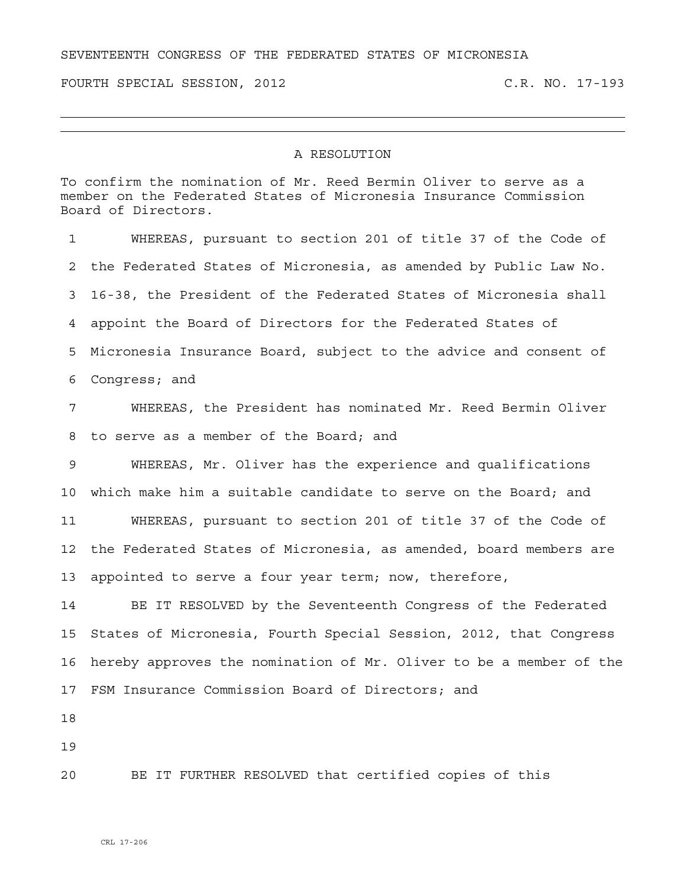## SEVENTEENTH CONGRESS OF THE FEDERATED STATES OF MICRONESIA

FOURTH SPECIAL SESSION, 2012 C.R. NO. 17-193

## A RESOLUTION

To confirm the nomination of Mr. Reed Bermin Oliver to serve as a member on the Federated States of Micronesia Insurance Commission Board of Directors.

1 WHEREAS, pursuant to section 201 of title 37 of the Code of 2 the Federated States of Micronesia, as amended by Public Law No. 3 16-38, the President of the Federated States of Micronesia shall 4 appoint the Board of Directors for the Federated States of 5 Micronesia Insurance Board, subject to the advice and consent of 6 Congress; and 7 WHEREAS, the President has nominated Mr. Reed Bermin Oliver 8 to serve as a member of the Board; and 9 WHEREAS, Mr. Oliver has the experience and qualifications 10 which make him a suitable candidate to serve on the Board; and 11 WHEREAS, pursuant to section 201 of title 37 of the Code of 12 the Federated States of Micronesia, as amended, board members are 13 appointed to serve a four year term; now, therefore, 14 BE IT RESOLVED by the Seventeenth Congress of the Federated 15 States of Micronesia, Fourth Special Session, 2012, that Congress 16 hereby approves the nomination of Mr. Oliver to be a member of the 17 FSM Insurance Commission Board of Directors; and 18 19 20 BE IT FURTHER RESOLVED that certified copies of this